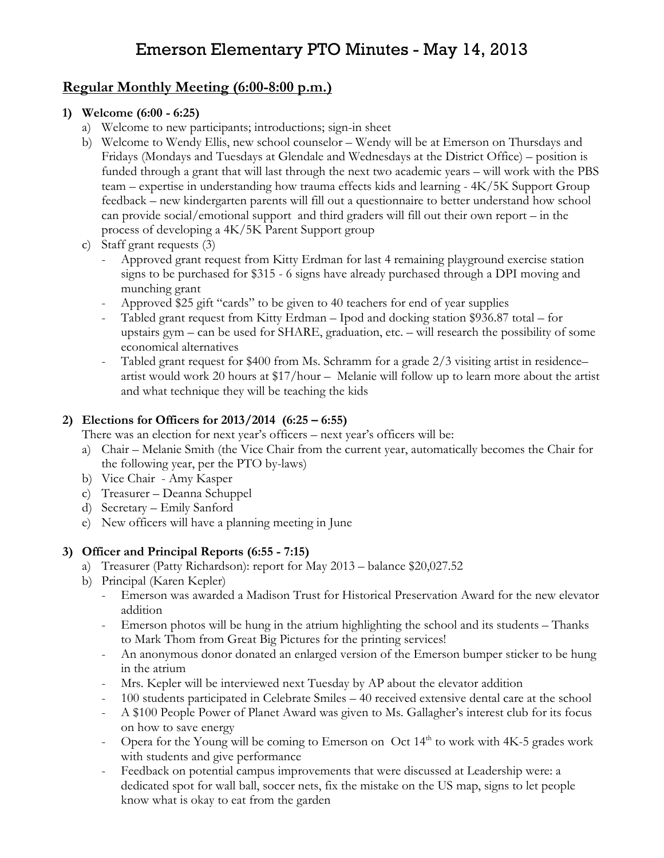# Emerson Elementary PTO Minutes - May 14, 2013

## Regular Monthly Meeting (6:00-8:00 p.m.)

#### 1) Welcome (6:00 - 6:25)

- a) Welcome to new participants; introductions; sign-in sheet
- b) Welcome to Wendy Ellis, new school counselor Wendy will be at Emerson on Thursdays and Fridays (Mondays and Tuesdays at Glendale and Wednesdays at the District Office) – position is funded through a grant that will last through the next two academic years – will work with the PBS team – expertise in understanding how trauma effects kids and learning - 4K/5K Support Group feedback – new kindergarten parents will fill out a questionnaire to better understand how school can provide social/emotional support and third graders will fill out their own report – in the process of developing a 4K/5K Parent Support group
- c) Staff grant requests (3)
	- Approved grant request from Kitty Erdman for last 4 remaining playground exercise station signs to be purchased for \$315 - 6 signs have already purchased through a DPI moving and munching grant
	- Approved \$25 gift "cards" to be given to 40 teachers for end of year supplies
	- Tabled grant request from Kitty Erdman Ipod and docking station \$936.87 total for upstairs gym – can be used for SHARE, graduation, etc. – will research the possibility of some economical alternatives
	- Tabled grant request for \$400 from Ms. Schramm for a grade 2/3 visiting artist in residence– artist would work 20 hours at \$17/hour – Melanie will follow up to learn more about the artist and what technique they will be teaching the kids

#### 2) Elections for Officers for 2013/2014 (6:25 – 6:55)

There was an election for next year's officers – next year's officers will be:

- a) Chair Melanie Smith (the Vice Chair from the current year, automatically becomes the Chair for the following year, per the PTO by-laws)
- b) Vice Chair Amy Kasper
- c) Treasurer Deanna Schuppel
- d) Secretary Emily Sanford
- e) New officers will have a planning meeting in June

#### 3) Officer and Principal Reports (6:55 - 7:15)

- a) Treasurer (Patty Richardson): report for May 2013 balance \$20,027.52
- b) Principal (Karen Kepler)
	- Emerson was awarded a Madison Trust for Historical Preservation Award for the new elevator addition
	- Emerson photos will be hung in the atrium highlighting the school and its students Thanks to Mark Thom from Great Big Pictures for the printing services!
	- An anonymous donor donated an enlarged version of the Emerson bumper sticker to be hung in the atrium
	- Mrs. Kepler will be interviewed next Tuesday by AP about the elevator addition
	- 100 students participated in Celebrate Smiles 40 received extensive dental care at the school
	- A \$100 People Power of Planet Award was given to Ms. Gallagher's interest club for its focus on how to save energy
	- Opera for the Young will be coming to Emerson on Oct  $14<sup>th</sup>$  to work with  $4K-5$  grades work with students and give performance
	- Feedback on potential campus improvements that were discussed at Leadership were: a dedicated spot for wall ball, soccer nets, fix the mistake on the US map, signs to let people know what is okay to eat from the garden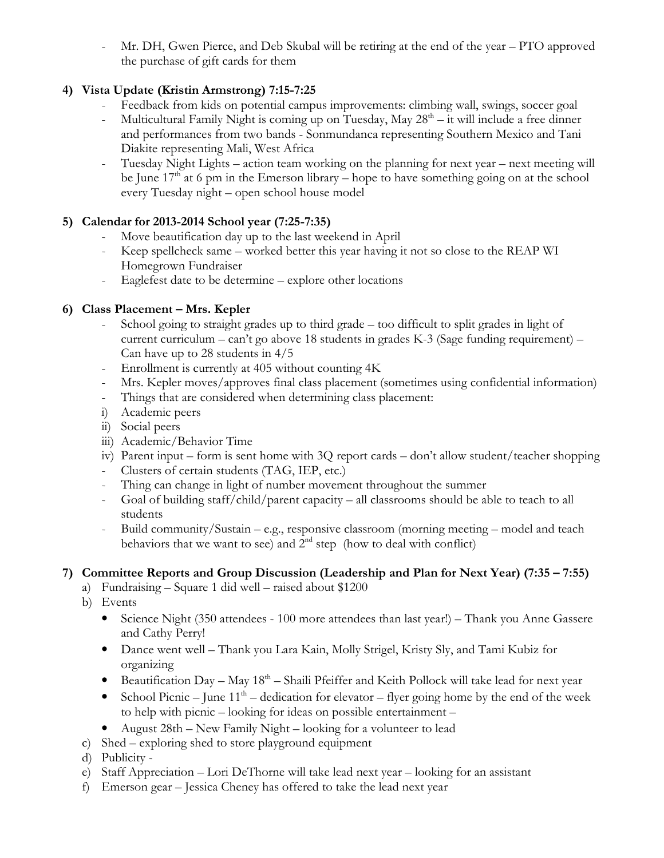Mr. DH, Gwen Pierce, and Deb Skubal will be retiring at the end of the year – PTO approved the purchase of gift cards for them

### 4) Vista Update (Kristin Armstrong) 7:15-7:25

- 
- Feedback from kids on potential campus improvements: climbing wall, swings, soccer goal<br>- Multicultural Family Night is coming up on Tuesday, May 28<sup>th</sup> it will include a free dinner Multicultural Family Night is coming up on Tuesday, May  $28<sup>th</sup> - it$  will include a free dinner and performances from two bands - Sonmundanca representing Southern Mexico and Tani Diakite representing Mali, West Africa
- Tuesday Night Lights action team working on the planning for next year next meeting will be June  $17<sup>th</sup>$  at 6 pm in the Emerson library – hope to have something going on at the school every Tuesday night – open school house model

#### 5) Calendar for 2013-2014 School year (7:25-7:35)

- Move beautification day up to the last weekend in April
- Keep spellcheck same worked better this year having it not so close to the REAP WI Homegrown Fundraiser
- Eaglefest date to be determine explore other locations

#### 6) Class Placement – Mrs. Kepler

- School going to straight grades up to third grade too difficult to split grades in light of current curriculum – can't go above 18 students in grades K-3 (Sage funding requirement) – Can have up to 28 students in 4/5
- Enrollment is currently at 405 without counting 4K
- Mrs. Kepler moves/approves final class placement (sometimes using confidential information)
- Things that are considered when determining class placement:
- i) Academic peers
- ii) Social peers
- iii) Academic/Behavior Time
- iv) Parent input form is sent home with 3Q report cards don't allow student/teacher shopping
- Clusters of certain students (TAG, IEP, etc.)
- Thing can change in light of number movement throughout the summer
- Goal of building staff/child/parent capacity all classrooms should be able to teach to all students
- Build community/Sustain e.g., responsive classroom (morning meeting model and teach behaviors that we want to see) and  $2<sup>nd</sup>$  step (how to deal with conflict)

#### 7) Committee Reports and Group Discussion (Leadership and Plan for Next Year) (7:35 – 7:55)

- a) Fundraising Square 1 did well raised about \$1200
	- b) Events
		- Science Night (350 attendees 100 more attendees than last year!) Thank you Anne Gassere and Cathy Perry!
		- Dance went well Thank you Lara Kain, Molly Strigel, Kristy Sly, and Tami Kubiz for organizing
		- Beautification Day May  $18<sup>th</sup>$  Shaili Pfeiffer and Keith Pollock will take lead for next year
		- School Picnic June  $11<sup>th</sup>$  dedication for elevator flyer going home by the end of the week to help with picnic – looking for ideas on possible entertainment –
		- August 28th New Family Night looking for a volunteer to lead
	- c) Shed exploring shed to store playground equipment
	- d) Publicity -
	- e) Staff Appreciation Lori DeThorne will take lead next year looking for an assistant
	- f) Emerson gear Jessica Cheney has offered to take the lead next year